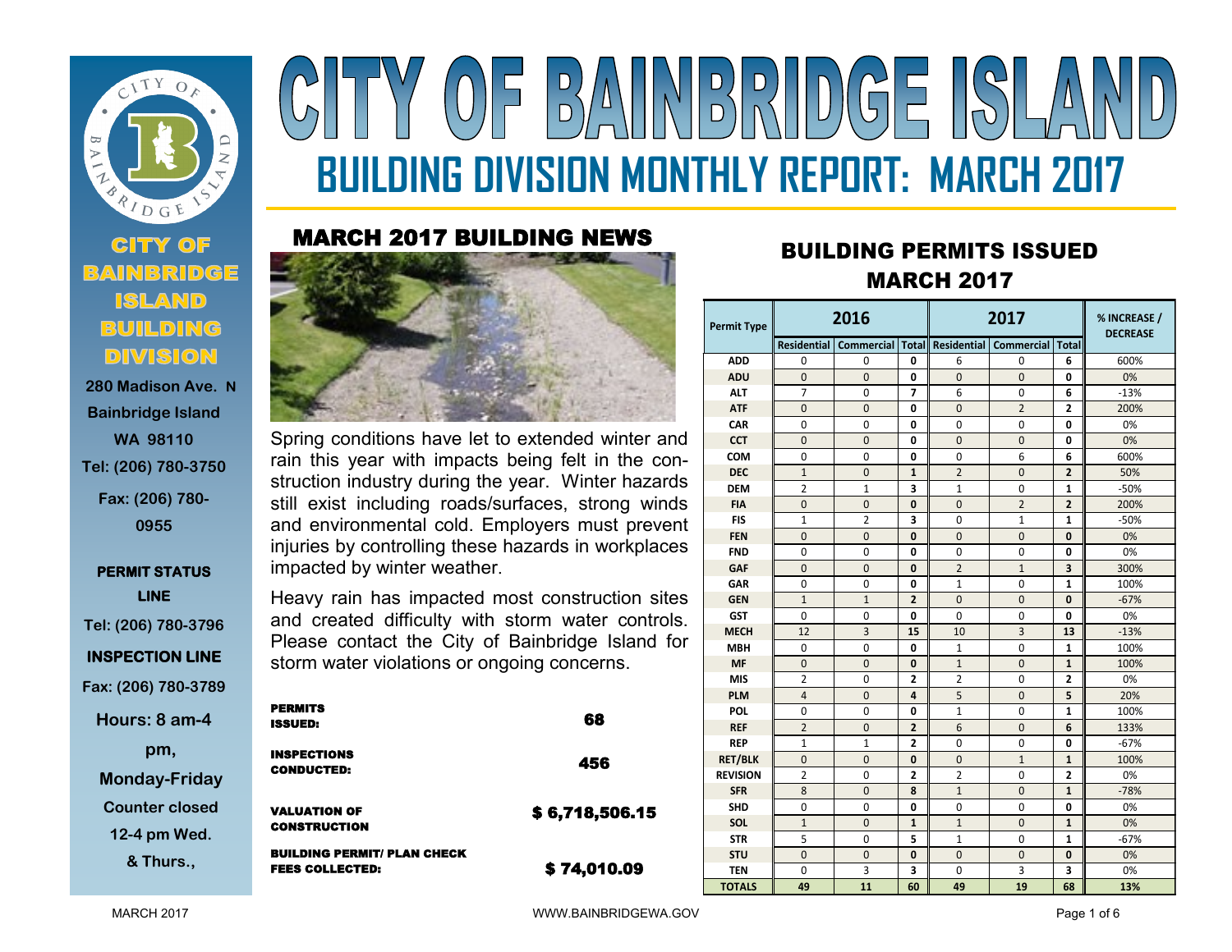

# **Bainbridge Island WA 98110 Tel: (206) 780-3750 Fax: (206) 780- 0955**

## **PERMIT STATUS LINE Tel: (206) 780-3796 INSPECTION LINE Fax: (206) 780-3789**

**Hours: 8 am-4** 

**pm, Monday-Friday**

**Counter closed** 

**12-4 pm Wed.** 

**& Thurs.,** 

# $(0)$  =  $|B/\Lambda||N|D|D|\Lambda||D(G)$  =  $|(S)|/\Lambda$ **BUILDING DIVISION MONTHLY REPORT: MARCH 2017**

### MARCH 2017 BUILDING NEWS



Spring conditions have let to extended winter and rain this year with impacts being felt in the construction industry during the year. Winter hazards still exist including roads/surfaces, strong winds and environmental cold. Employers must prevent injuries by controlling these hazards in workplaces impacted by winter weather.

Heavy rain has impacted most construction sites and created difficulty with storm water controls. Please contact the City of Bainbridge Island for storm water violations or ongoing concerns.

| <b>PERMITS</b><br><b>ISSUED:</b>                             | 68             |
|--------------------------------------------------------------|----------------|
| <b>INSPECTIONS</b><br><b>CONDUCTED:</b>                      | 456            |
| <b>VALUATION OF</b><br><b>CONSTRUCTION</b>                   | \$6,718,506.15 |
| <b>BUILDING PERMIT/ PLAN CHECK</b><br><b>FEES COLLECTED:</b> | \$74,010.09    |

# **<sup>2017</sup>** BUILDING PERMITS ISSUED MARCH 2017

| <b>Permit Type</b> |                    | 2016                      |                | 2017           |                           |                         | % INCREASE /<br><b>DECREASE</b> |
|--------------------|--------------------|---------------------------|----------------|----------------|---------------------------|-------------------------|---------------------------------|
|                    | <b>Residential</b> | <b>Commercial   Total</b> |                | Residential    | <b>Commercial   Total</b> |                         |                                 |
| <b>ADD</b>         | 0                  | $\Omega$                  | 0              | 6              | $\Omega$                  | 6                       | 600%                            |
| <b>ADU</b>         | $\mathbf{0}$       | $\mathbf{0}$              | 0              | $\mathbf{0}$   | $\mathbf{0}$              | 0                       | 0%                              |
| <b>ALT</b>         | 7                  | 0                         | 7              | 6              | 0                         | 6                       | $-13%$                          |
| <b>ATF</b>         | $\Omega$           | $\mathbf{0}$              | 0              | $\Omega$       | $\overline{2}$            | $\overline{2}$          | 200%                            |
| <b>CAR</b>         | 0                  | 0                         | 0              | 0              | 0                         | 0                       | 0%                              |
| <b>CCT</b>         | $\mathbf{0}$       | $\mathbf{0}$              | 0              | $\mathbf{0}$   | $\mathbf 0$               | 0                       | 0%                              |
| <b>COM</b>         | $\mathbf{0}$       | $\mathbf{0}$              | 0              | $\mathbf{0}$   | 6                         | 6                       | 600%                            |
| <b>DEC</b>         | $\mathbf{1}$       | $\mathbf{0}$              | 1              | $\overline{2}$ | 0                         | $\overline{2}$          | 50%                             |
| <b>DEM</b>         | $\overline{2}$     | $\mathbf{1}$              | 3              | $\mathbf{1}$   | $\mathbf{0}$              | $\mathbf{1}$            | $-50%$                          |
| <b>FIA</b>         | $\mathbf{0}$       | $\mathbf{0}$              | 0              | $\mathbf{0}$   | $\overline{2}$            | $\overline{2}$          | 200%                            |
| <b>FIS</b>         | $\mathbf{1}$       | $\overline{2}$            | 3              | $\Omega$       | $\mathbf{1}$              | $\mathbf{1}$            | $-50%$                          |
| <b>FEN</b>         | $\mathbf{0}$       | $\mathbf{0}$              | 0              | $\mathbf{0}$   | $\overline{0}$            | $\bf{0}$                | 0%                              |
| <b>FND</b>         | 0                  | 0                         | 0              | 0              | 0                         | $\mathbf{0}$            | 0%                              |
| <b>GAF</b>         | $\mathbf{0}$       | $\mathbf{0}$              | 0              | $\overline{2}$ | $\mathbf{1}$              | $\overline{\mathbf{3}}$ | 300%                            |
| <b>GAR</b>         | 0                  | $\mathbf 0$               | 0              | $\mathbf{1}$   | 0                         | $\mathbf{1}$            | 100%                            |
| <b>GEN</b>         | $\mathbf{1}$       | $\mathbf{1}$              | $\overline{2}$ | $\mathbf{0}$   | $\mathbf{0}$              | $\mathbf{0}$            | $-67%$                          |
| <b>GST</b>         | $\mathbf 0$        | 0                         | 0              | $\Omega$       | 0                         | 0                       | 0%                              |
| <b>MECH</b>        | 12                 | 3                         | 15             | 10             | $\overline{3}$            | 13                      | $-13%$                          |
| <b>MBH</b>         | $\Omega$           | $\mathbf 0$               | 0              | 1              | 0                         | 1                       | 100%                            |
| <b>MF</b>          | $\Omega$           | $\mathbf{0}$              | $\bf{0}$       | $\mathbf{1}$   | $\mathbf{0}$              | $\mathbf{1}$            | 100%                            |
| <b>MIS</b>         | $\overline{2}$     | $\mathbf 0$               | $\overline{2}$ | 2              | 0                         | $\mathbf{2}$            | 0%                              |
| <b>PLM</b>         | $\overline{4}$     | $\Omega$                  | 4              | 5              | $\mathbf{0}$              | 5                       | 20%                             |
| <b>POL</b>         | $\mathbf 0$        | $\mathbf 0$               | 0              | $\mathbf{1}$   | 0                         | 1                       | 100%                            |
| <b>REF</b>         | $\overline{2}$     | $\mathbf{0}$              | $\overline{2}$ | 6              | $\mathbf{0}$              | 6                       | 133%                            |
| <b>REP</b>         | $\mathbf{1}$       | $\mathbf{1}$              | $\overline{2}$ | 0              | 0                         | 0                       | $-67%$                          |
| <b>RET/BLK</b>     | $\mathbf{0}$       | $\mathbf 0$               | 0              | $\mathbf{0}$   | $\mathbf{1}$              | $\mathbf{1}$            | 100%                            |
| <b>REVISION</b>    | $\overline{2}$     | 0                         | $\overline{2}$ | $\overline{2}$ | 0                         | $\overline{\mathbf{2}}$ | 0%                              |
| <b>SFR</b>         | 8                  | $\mathbf{0}$              | 8              | $\mathbf{1}$   | $\mathbf{0}$              | $\mathbf{1}$            | $-78%$                          |
| <b>SHD</b>         | $\mathbf 0$        | 0                         | 0              | 0              | 0                         | 0                       | 0%                              |
| SOL                | $\mathbf{1}$       | $\mathbf{0}$              | $\mathbf{1}$   | $\mathbf{1}$   | $\mathbf{0}$              | $\mathbf{1}$            | 0%                              |
| <b>STR</b>         | 5                  | $\mathbf 0$               | 5              | $\mathbf{1}$   | $\mathbf{0}$              | $\mathbf{1}$            | $-67%$                          |
| <b>STU</b>         | $\mathbf{0}$       | $\mathbf{0}$              | 0              | $\Omega$       | $\mathbf{0}$              | $\mathbf{0}$            | 0%                              |
| TEN                | $\Omega$           | 3                         | 3              | $\Omega$       | 3                         | 3                       | 0%                              |
| <b>TOTALS</b>      | 49                 | 11                        | 60             | 49             | 19                        | 68                      | 13%                             |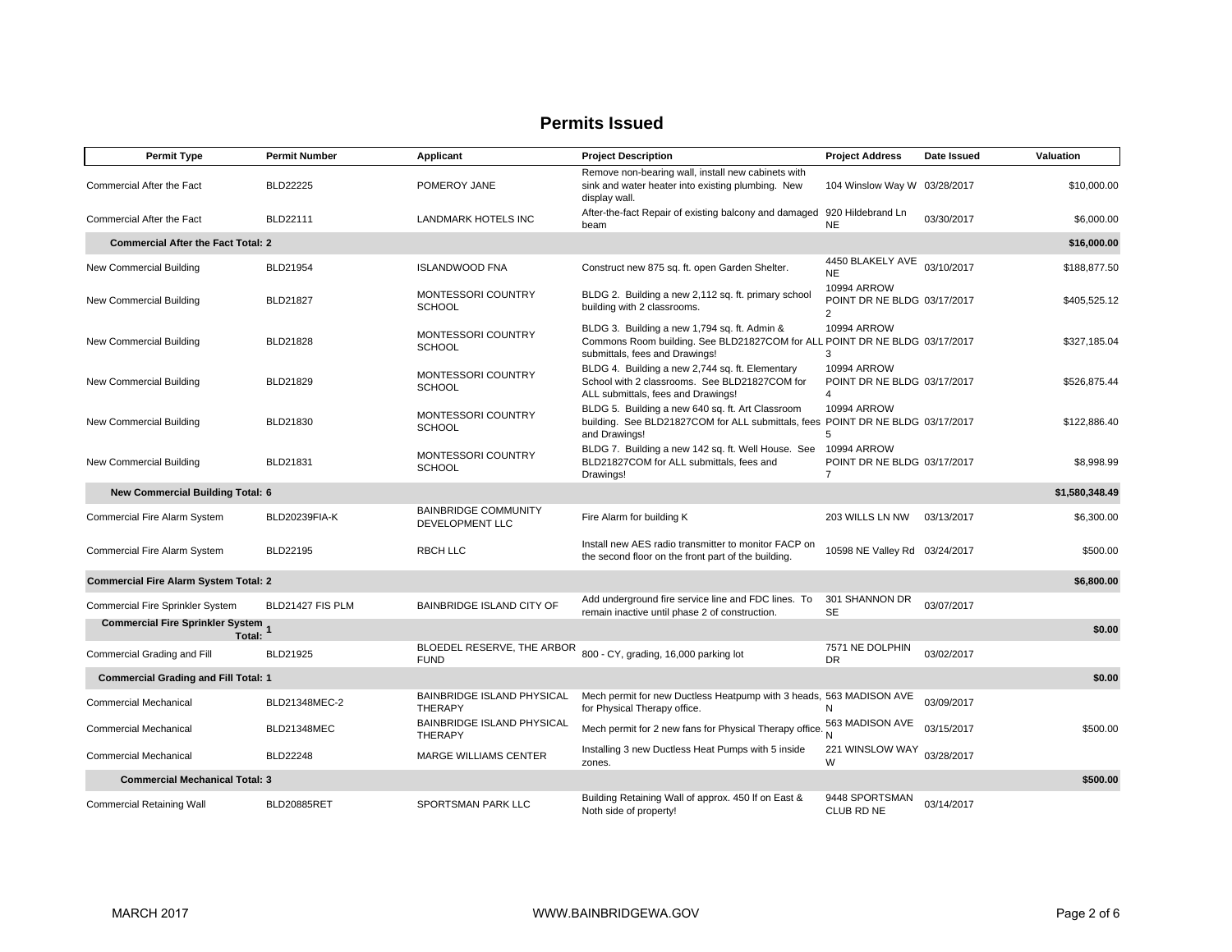| <b>Permit Type</b>                                  | <b>Permit Number</b> | Applicant                                           | <b>Project Description</b>                                                                                                                                   | <b>Project Address</b>                                              | Date Issued | Valuation      |
|-----------------------------------------------------|----------------------|-----------------------------------------------------|--------------------------------------------------------------------------------------------------------------------------------------------------------------|---------------------------------------------------------------------|-------------|----------------|
| Commercial After the Fact                           | <b>BLD22225</b>      | POMEROY JANE                                        | Remove non-bearing wall, install new cabinets with<br>sink and water heater into existing plumbing. New<br>display wall.                                     | 104 Winslow Way W 03/28/2017                                        |             | \$10,000.00    |
| Commercial After the Fact                           | BLD22111             | <b>LANDMARK HOTELS INC</b>                          | After-the-fact Repair of existing balcony and damaged<br>beam                                                                                                | 920 Hildebrand Ln<br><b>NE</b>                                      | 03/30/2017  | \$6,000.00     |
| <b>Commercial After the Fact Total: 2</b>           |                      |                                                     |                                                                                                                                                              |                                                                     |             | \$16,000.00    |
| New Commercial Building                             | <b>BLD21954</b>      | <b>ISLANDWOOD FNA</b>                               | Construct new 875 sq. ft. open Garden Shelter.                                                                                                               | 4450 BLAKELY AVE<br><b>NE</b>                                       | 03/10/2017  | \$188.877.50   |
| New Commercial Building                             | BLD21827             | MONTESSORI COUNTRY<br><b>SCHOOL</b>                 | BLDG 2. Building a new 2,112 sq. ft. primary school<br>building with 2 classrooms.                                                                           | 10994 ARROW<br>POINT DR NE BLDG 03/17/2017<br>2                     |             | \$405,525.12   |
| New Commercial Building                             | BLD21828             | MONTESSORI COUNTRY<br><b>SCHOOL</b>                 | BLDG 3. Building a new 1,794 sq. ft. Admin &<br>Commons Room building. See BLD21827COM for ALL POINT DR NE BLDG 03/17/2017<br>submittals, fees and Drawings! | 10994 ARROW<br>3                                                    |             | \$327,185.04   |
| New Commercial Building                             | BLD21829             | MONTESSORI COUNTRY<br><b>SCHOOL</b>                 | BLDG 4. Building a new 2,744 sq. ft. Elementary<br>School with 2 classrooms. See BLD21827COM for<br>ALL submittals, fees and Drawings!                       | <b>10994 ARROW</b><br>POINT DR NE BLDG 03/17/2017<br>$\overline{4}$ |             | \$526,875.44   |
| New Commercial Building                             | BLD21830             | MONTESSORI COUNTRY<br><b>SCHOOL</b>                 | BLDG 5. Building a new 640 sq. ft. Art Classroom<br>building. See BLD21827COM for ALL submittals, fees POINT DR NE BLDG 03/17/2017<br>and Drawings!          | <b>10994 ARROW</b><br>5                                             |             | \$122,886,40   |
| New Commercial Building                             | BLD21831             | <b>MONTESSORI COUNTRY</b><br><b>SCHOOL</b>          | BLDG 7. Building a new 142 sq. ft. Well House. See<br>BLD21827COM for ALL submittals, fees and<br>Drawings!                                                  | 10994 ARROW<br>POINT DR NE BLDG 03/17/2017<br>$\overline{7}$        |             | \$8,998.99     |
| <b>New Commercial Building Total: 6</b>             |                      |                                                     |                                                                                                                                                              |                                                                     |             | \$1,580,348.49 |
| Commercial Fire Alarm System                        | BLD20239FIA-K        | <b>BAINBRIDGE COMMUNITY</b><br>DEVELOPMENT LLC      | Fire Alarm for building K                                                                                                                                    | 203 WILLS LN NW                                                     | 03/13/2017  | \$6,300.00     |
| Commercial Fire Alarm System                        | BLD22195             | <b>RBCH LLC</b>                                     | Install new AES radio transmitter to monitor FACP on<br>the second floor on the front part of the building.                                                  | 10598 NE Valley Rd 03/24/2017                                       |             | \$500.00       |
| <b>Commercial Fire Alarm System Total: 2</b>        |                      |                                                     |                                                                                                                                                              |                                                                     |             | \$6,800.00     |
| Commercial Fire Sprinkler System                    | BLD21427 FIS PLM     | <b>BAINBRIDGE ISLAND CITY OF</b>                    | Add underground fire service line and FDC lines. To<br>remain inactive until phase 2 of construction.                                                        | 301 SHANNON DR<br><b>SE</b>                                         | 03/07/2017  |                |
| <b>Commercial Fire Sprinkler System 1</b><br>Total: |                      |                                                     |                                                                                                                                                              |                                                                     |             | \$0.00         |
| Commercial Grading and Fill                         | BLD21925             | <b>FUND</b>                                         | BLOEDEL RESERVE, THE ARBOR 800 - CY, grading, 16,000 parking lot                                                                                             | 7571 NE DOLPHIN<br><b>DR</b>                                        | 03/02/2017  |                |
| <b>Commercial Grading and Fill Total: 1</b>         |                      |                                                     |                                                                                                                                                              |                                                                     |             | \$0.00         |
| <b>Commercial Mechanical</b>                        | BLD21348MEC-2        | BAINBRIDGE ISLAND PHYSICAL<br><b>THERAPY</b>        | Mech permit for new Ductless Heatpump with 3 heads, 563 MADISON AVE<br>for Physical Therapy office.                                                          | N                                                                   | 03/09/2017  |                |
| <b>Commercial Mechanical</b>                        | <b>BLD21348MEC</b>   | <b>BAINBRIDGE ISLAND PHYSICAL</b><br><b>THERAPY</b> | Mech permit for 2 new fans for Physical Therapy office.                                                                                                      | 563 MADISON AVE                                                     | 03/15/2017  | \$500.00       |
| <b>Commercial Mechanical</b>                        | BLD22248             | MARGE WILLIAMS CENTER                               | Installing 3 new Ductless Heat Pumps with 5 inside<br>zones.                                                                                                 | 221 WINSLOW WAY<br>W                                                | 03/28/2017  |                |
| <b>Commercial Mechanical Total: 3</b>               |                      |                                                     |                                                                                                                                                              |                                                                     |             | \$500.00       |
| <b>Commercial Retaining Wall</b>                    | BLD20885RET          | SPORTSMAN PARK LLC                                  | Building Retaining Wall of approx. 450 If on East &<br>Noth side of property!                                                                                | 9448 SPORTSMAN<br>CLUB RD NE                                        | 03/14/2017  |                |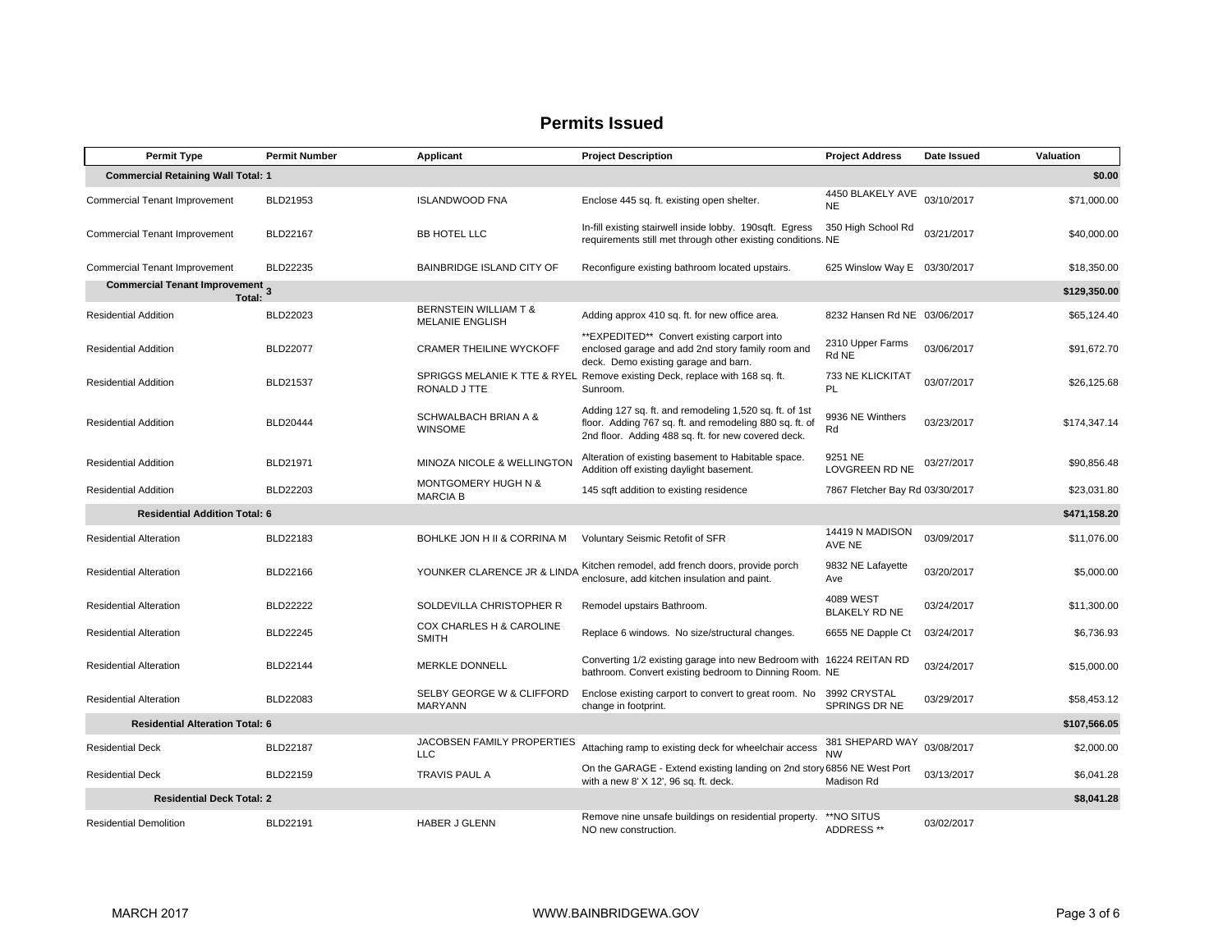| <b>Permit Type</b>                                          | <b>Permit Number</b> | Applicant                                         | <b>Project Description</b>                                                                                                                                               | <b>Project Address</b>            | Date Issued | Valuation    |
|-------------------------------------------------------------|----------------------|---------------------------------------------------|--------------------------------------------------------------------------------------------------------------------------------------------------------------------------|-----------------------------------|-------------|--------------|
| <b>Commercial Retaining Wall Total: 1</b>                   |                      |                                                   |                                                                                                                                                                          |                                   |             | \$0.00       |
| Commercial Tenant Improvement                               | BLD21953             | <b>ISLANDWOOD FNA</b>                             | Enclose 445 sq. ft. existing open shelter.                                                                                                                               | 4450 BLAKELY AVE<br><b>NE</b>     | 03/10/2017  | \$71,000.00  |
| <b>Commercial Tenant Improvement</b>                        | <b>BLD22167</b>      | BB HOTEL LLC                                      | In-fill existing stairwell inside lobby. 190sqft. Egress<br>requirements still met through other existing conditions. NE                                                 | 350 High School Rd                | 03/21/2017  | \$40,000.00  |
| Commercial Tenant Improvement                               | BLD22235             | BAINBRIDGE ISLAND CITY OF                         | Reconfigure existing bathroom located upstairs.                                                                                                                          | 625 Winslow Way E 03/30/2017      |             | \$18,350.00  |
| <b>Commercial Tenant Improvement</b> <sub>3</sub><br>Total: |                      |                                                   |                                                                                                                                                                          |                                   |             | \$129,350.00 |
| <b>Residential Addition</b>                                 | BLD22023             | BERNSTEIN WILLIAM T &<br><b>MELANIE ENGLISH</b>   | Adding approx 410 sq. ft. for new office area.                                                                                                                           | 8232 Hansen Rd NE 03/06/2017      |             | \$65,124.40  |
| <b>Residential Addition</b>                                 | <b>BLD22077</b>      | <b>CRAMER THEILINE WYCKOFF</b>                    | **EXPEDITED** Convert existing carport into<br>enclosed garage and add 2nd story family room and<br>deck. Demo existing garage and barn.                                 | 2310 Upper Farms<br>Rd NE         | 03/06/2017  | \$91,672.70  |
| <b>Residential Addition</b>                                 | <b>BLD21537</b>      | RONALD J TTE                                      | SPRIGGS MELANIE K TTE & RYEL Remove existing Deck, replace with 168 sq. ft.<br>Sunroom.                                                                                  | 733 NE KLICKITAT<br>PL            | 03/07/2017  | \$26,125.68  |
| <b>Residential Addition</b>                                 | BLD20444             | <b>SCHWALBACH BRIAN A &amp;</b><br><b>WINSOME</b> | Adding 127 sq. ft. and remodeling 1,520 sq. ft. of 1st<br>floor. Adding 767 sq. ft. and remodeling 880 sq. ft. of<br>2nd floor. Adding 488 sq. ft. for new covered deck. | 9936 NE Winthers<br>Rd            | 03/23/2017  | \$174,347.14 |
| <b>Residential Addition</b>                                 | BLD21971             | MINOZA NICOLE & WELLINGTON                        | Alteration of existing basement to Habitable space.<br>Addition off existing daylight basement.                                                                          | 9251 NE<br>LOVGREEN RD NE         | 03/27/2017  | \$90,856.48  |
| <b>Residential Addition</b>                                 | BLD22203             | MONTGOMERY HUGH N &<br><b>MARCIA B</b>            | 145 sqft addition to existing residence                                                                                                                                  | 7867 Fletcher Bay Rd 03/30/2017   |             | \$23,031.80  |
| <b>Residential Addition Total: 6</b>                        |                      |                                                   |                                                                                                                                                                          |                                   |             | \$471,158.20 |
| <b>Residential Alteration</b>                               | BLD22183             | BOHLKE JON H II & CORRINA M                       | Voluntary Seismic Retofit of SFR                                                                                                                                         | 14419 N MADISON<br>AVE NE         | 03/09/2017  | \$11,076.00  |
| <b>Residential Alteration</b>                               | BLD22166             | YOUNKER CLARENCE JR & LINDA                       | Kitchen remodel, add french doors, provide porch<br>enclosure, add kitchen insulation and paint.                                                                         | 9832 NE Lafayette<br>Ave          | 03/20/2017  | \$5,000.00   |
| <b>Residential Alteration</b>                               | <b>BLD22222</b>      | SOLDEVILLA CHRISTOPHER R                          | Remodel upstairs Bathroom.                                                                                                                                               | 4089 WEST<br><b>BLAKELY RD NE</b> | 03/24/2017  | \$11,300.00  |
| <b>Residential Alteration</b>                               | <b>BLD22245</b>      | COX CHARLES H & CAROLINE<br><b>SMITH</b>          | Replace 6 windows. No size/structural changes.                                                                                                                           | 6655 NE Dapple Ct                 | 03/24/2017  | \$6,736.93   |
| <b>Residential Alteration</b>                               | BLD22144             | <b>MERKLE DONNELL</b>                             | Converting 1/2 existing garage into new Bedroom with 16224 REITAN RD<br>bathroom. Convert existing bedroom to Dinning Room. NE                                           |                                   | 03/24/2017  | \$15,000.00  |
| <b>Residential Alteration</b>                               | BLD22083             | SELBY GEORGE W & CLIFFORD<br>MARYANN              | Enclose existing carport to convert to great room. No<br>change in footprint.                                                                                            | 3992 CRYSTAL<br>SPRINGS DR NE     | 03/29/2017  | \$58,453.12  |
| <b>Residential Alteration Total: 6</b>                      |                      |                                                   |                                                                                                                                                                          |                                   |             | \$107,566.05 |
| <b>Residential Deck</b>                                     | <b>BLD22187</b>      | JACOBSEN FAMILY PROPERTIES<br><b>LLC</b>          | Attaching ramp to existing deck for wheelchair access                                                                                                                    | 381 SHEPARD WAY<br><b>NW</b>      | 03/08/2017  | \$2,000.00   |
| <b>Residential Deck</b>                                     | BLD22159             | <b>TRAVIS PAUL A</b>                              | On the GARAGE - Extend existing landing on 2nd story 6856 NE West Port<br>with a new 8' X 12', 96 sq. ft. deck.                                                          | Madison Rd                        | 03/13/2017  | \$6,041.28   |
| <b>Residential Deck Total: 2</b>                            |                      |                                                   |                                                                                                                                                                          |                                   |             | \$8,041.28   |
| <b>Residential Demolition</b>                               | BLD22191             | <b>HABER J GLENN</b>                              | Remove nine unsafe buildings on residential property.<br>NO new construction.                                                                                            | **NO SITUS<br>ADDRESS **          | 03/02/2017  |              |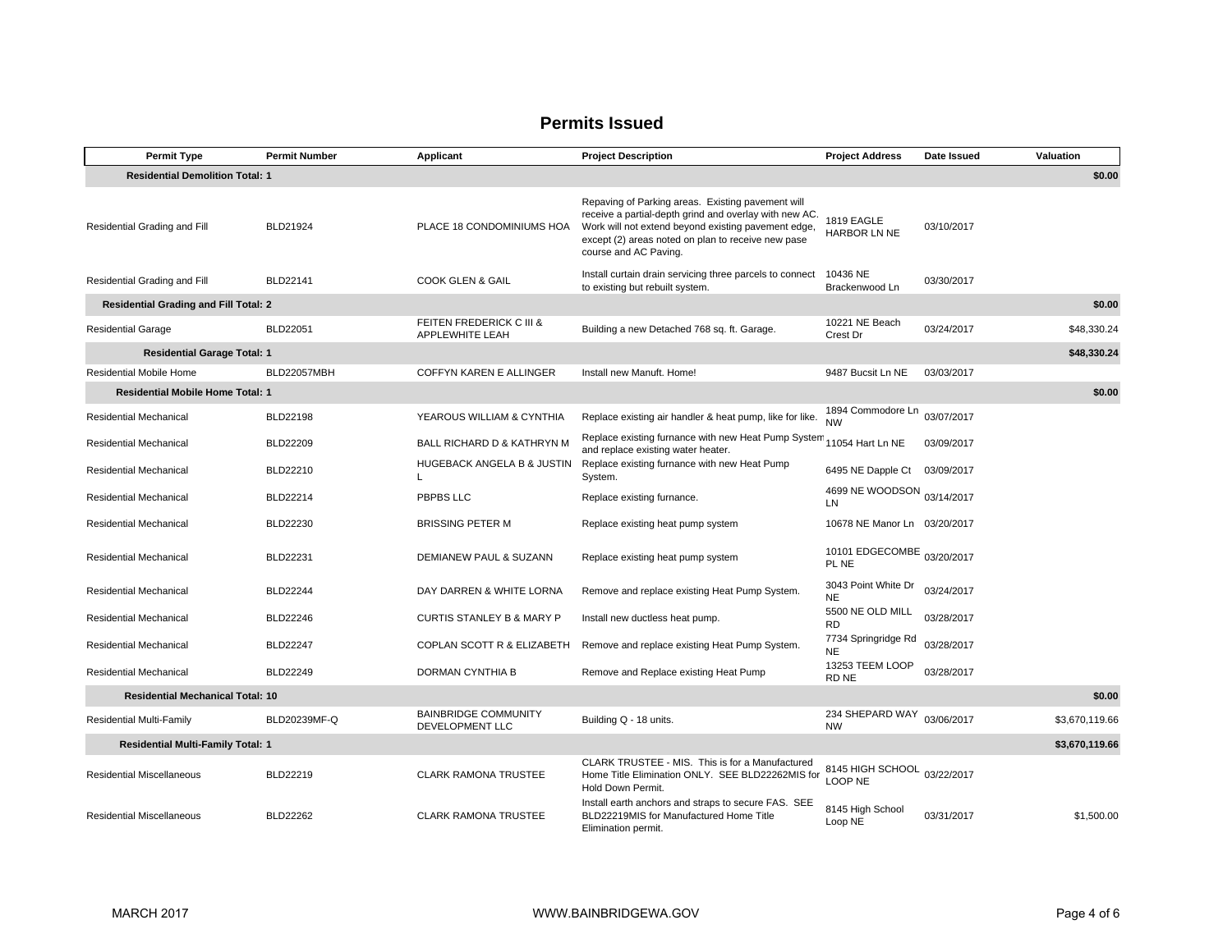| <b>Permit Type</b>                                | <b>Permit Number</b> | Applicant                                      | <b>Project Description</b>                                                                                                                                                                                                                        | <b>Project Address</b>           | Date Issued | Valuation      |
|---------------------------------------------------|----------------------|------------------------------------------------|---------------------------------------------------------------------------------------------------------------------------------------------------------------------------------------------------------------------------------------------------|----------------------------------|-------------|----------------|
| <b>Residential Demolition Total: 1</b>            |                      |                                                |                                                                                                                                                                                                                                                   |                                  |             | \$0.00         |
| Residential Grading and Fill                      | BLD21924             | PLACE 18 CONDOMINIUMS HOA                      | Repaving of Parking areas. Existing pavement will<br>receive a partial-depth grind and overlay with new AC.<br>Work will not extend beyond existing pavement edge,<br>except (2) areas noted on plan to receive new pase<br>course and AC Paving. | 1819 EAGLE<br>HARBOR LN NE       | 03/10/2017  |                |
| Residential Grading and Fill                      | BLD22141             | COOK GLEN & GAIL                               | Install curtain drain servicing three parcels to connect<br>to existing but rebuilt system.                                                                                                                                                       | 10436 NE<br>Brackenwood Ln       | 03/30/2017  |                |
| <b>Residential Grading and Fill Total: 2</b>      |                      |                                                |                                                                                                                                                                                                                                                   |                                  |             | \$0.00         |
| <b>Residential Garage</b>                         | BLD22051             | FEITEN FREDERICK C III &<br>APPLEWHITE LEAH    | Building a new Detached 768 sq. ft. Garage.                                                                                                                                                                                                       | 10221 NE Beach<br>Crest Dr       | 03/24/2017  | \$48,330.24    |
| <b>Residential Garage Total: 1</b>                |                      |                                                |                                                                                                                                                                                                                                                   |                                  |             | \$48,330.24    |
| Residential Mobile Home                           | BLD22057MBH          | COFFYN KAREN E ALLINGER                        | Install new Manuft, Home!                                                                                                                                                                                                                         | 9487 Bucsit Ln NE                | 03/03/2017  |                |
| <b>Residential Mobile Home Total: 1</b>           |                      |                                                |                                                                                                                                                                                                                                                   |                                  |             | \$0.00         |
| Residential Mechanical                            | BLD22198             | YEAROUS WILLIAM & CYNTHIA                      | Replace existing air handler & heat pump, like for like.                                                                                                                                                                                          | 1894 Commodore Ln<br><b>NW</b>   | 03/07/2017  |                |
| Residential Mechanical                            | <b>BLD22209</b>      | BALL RICHARD D & KATHRYN M                     | Replace existing furnance with new Heat Pump System<br>and replace existing water heater.                                                                                                                                                         | 11054 Hart Ln NE                 | 03/09/2017  |                |
| <b>Residential Mechanical</b>                     | BLD22210             | HUGEBACK ANGELA B & JUSTIN<br>I.               | Replace existing furnance with new Heat Pump<br>System.                                                                                                                                                                                           | 6495 NE Dapple Ct                | 03/09/2017  |                |
| Residential Mechanical                            | BLD22214             | PBPBS LLC                                      | Replace existing furnance.                                                                                                                                                                                                                        | 4699 NE WOODSON<br>LN            | 03/14/2017  |                |
| Residential Mechanical                            | BLD22230             | <b>BRISSING PETER M</b>                        | Replace existing heat pump system                                                                                                                                                                                                                 | 10678 NE Manor Ln 03/20/2017     |             |                |
| <b>Residential Mechanical</b>                     | BLD22231             | DEMIANEW PAUL & SUZANN                         | Replace existing heat pump system                                                                                                                                                                                                                 | 10101 EDGECOMBE<br>PL NE         | 03/20/2017  |                |
| Residential Mechanical                            | <b>BLD22244</b>      | DAY DARREN & WHITE LORNA                       | Remove and replace existing Heat Pump System.                                                                                                                                                                                                     | 3043 Point White Dr<br>NE        | 03/24/2017  |                |
| Residential Mechanical                            | <b>BLD22246</b>      | <b>CURTIS STANLEY B &amp; MARY P</b>           | Install new ductless heat pump.                                                                                                                                                                                                                   | 5500 NE OLD MILL<br><b>RD</b>    | 03/28/2017  |                |
| Residential Mechanical                            | <b>BLD22247</b>      | COPLAN SCOTT R & ELIZABETH                     | Remove and replace existing Heat Pump System.                                                                                                                                                                                                     | 7734 Springridge Rd<br><b>NE</b> | 03/28/2017  |                |
| Residential Mechanical                            | <b>BLD22249</b>      | DORMAN CYNTHIA B                               | Remove and Replace existing Heat Pump                                                                                                                                                                                                             | 13253 TEEM LOOP<br>RD NE         | 03/28/2017  |                |
| <b>Residential Mechanical Total: 10</b><br>\$0.00 |                      |                                                |                                                                                                                                                                                                                                                   |                                  |             |                |
| <b>Residential Multi-Family</b>                   | BLD20239MF-Q         | <b>BAINBRIDGE COMMUNITY</b><br>DEVELOPMENT LLC | Building Q - 18 units.                                                                                                                                                                                                                            | 234 SHEPARD WAY<br><b>NW</b>     | 03/06/2017  | \$3,670,119.66 |
| <b>Residential Multi-Family Total: 1</b>          |                      |                                                |                                                                                                                                                                                                                                                   |                                  |             | \$3,670,119.66 |
| <b>Residential Miscellaneous</b>                  | BLD22219             | <b>CLARK RAMONA TRUSTEE</b>                    | CLARK TRUSTEE - MIS. This is for a Manufactured<br>Home Title Elimination ONLY. SEE BLD22262MIS for<br>Hold Down Permit.                                                                                                                          | 8145 HIGH SCHOOL<br>LOOP NE      | 03/22/2017  |                |
| <b>Residential Miscellaneous</b>                  | <b>BLD22262</b>      | <b>CLARK RAMONA TRUSTEE</b>                    | Install earth anchors and straps to secure FAS. SEE<br>BLD22219MIS for Manufactured Home Title<br>Elimination permit.                                                                                                                             | 8145 High School<br>Loop NE      | 03/31/2017  | \$1,500.00     |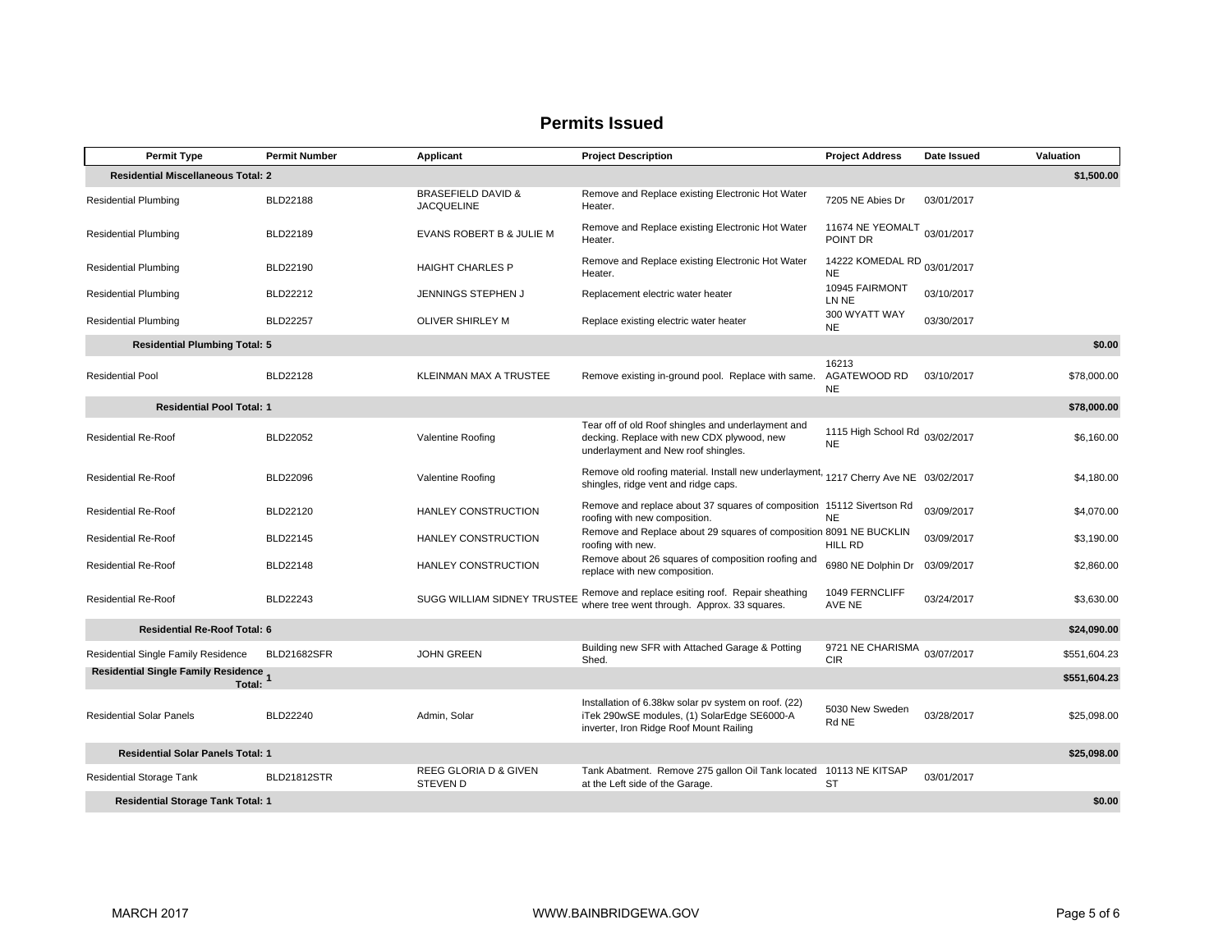| <b>Permit Type</b>                              | <b>Permit Number</b> | Applicant                                          | <b>Project Description</b>                                                                                                                     | <b>Project Address</b>                      | Date Issued | Valuation    |
|-------------------------------------------------|----------------------|----------------------------------------------------|------------------------------------------------------------------------------------------------------------------------------------------------|---------------------------------------------|-------------|--------------|
| <b>Residential Miscellaneous Total: 2</b>       |                      |                                                    |                                                                                                                                                |                                             |             | \$1,500.00   |
| <b>Residential Plumbing</b>                     | <b>BLD22188</b>      | <b>BRASEFIELD DAVID &amp;</b><br><b>JACQUELINE</b> | Remove and Replace existing Electronic Hot Water<br>Heater.                                                                                    | 7205 NE Abies Dr                            | 03/01/2017  |              |
| <b>Residential Plumbing</b>                     | BLD22189             | EVANS ROBERT B & JULIE M                           | Remove and Replace existing Electronic Hot Water<br>Heater.                                                                                    | 11674 NE YEOMALT<br>POINT DR                | 03/01/2017  |              |
| <b>Residential Plumbing</b>                     | BLD22190             | <b>HAIGHT CHARLES P</b>                            | Remove and Replace existing Electronic Hot Water<br>Heater.                                                                                    | 14222 KOMEDAL RD 03/01/2017<br><b>NE</b>    |             |              |
| <b>Residential Plumbing</b>                     | BLD22212             | JENNINGS STEPHEN J                                 | Replacement electric water heater                                                                                                              | 10945 FAIRMONT<br>LN NE                     | 03/10/2017  |              |
| <b>Residential Plumbing</b>                     | <b>BLD22257</b>      | <b>OLIVER SHIRLEY M</b>                            | Replace existing electric water heater                                                                                                         | 300 WYATT WAY<br><b>NE</b>                  | 03/30/2017  |              |
| <b>Residential Plumbing Total: 5</b>            |                      |                                                    |                                                                                                                                                |                                             |             | \$0.00       |
| <b>Residential Pool</b>                         | <b>BLD22128</b>      | KLEINMAN MAX A TRUSTEE                             | Remove existing in-ground pool. Replace with same.                                                                                             | 16213<br>AGATEWOOD RD<br><b>NE</b>          | 03/10/2017  | \$78,000.00  |
| <b>Residential Pool Total: 1</b>                |                      |                                                    |                                                                                                                                                |                                             |             | \$78,000.00  |
| <b>Residential Re-Roof</b>                      | <b>BLD22052</b>      | Valentine Roofing                                  | Tear off of old Roof shingles and underlayment and<br>decking. Replace with new CDX plywood, new<br>underlayment and New roof shingles.        | 1115 High School Rd 03/02/2017<br><b>NE</b> |             | \$6,160.00   |
| <b>Residential Re-Roof</b>                      | <b>BLD22096</b>      | Valentine Roofing                                  | Remove old roofing material. Install new underlayment, 1217 Cherry Ave NE 03/02/2017<br>shingles, ridge vent and ridge caps.                   |                                             |             | \$4,180.00   |
| <b>Residential Re-Roof</b>                      | BLD22120             | HANLEY CONSTRUCTION                                | Remove and replace about 37 squares of composition 15112 Sivertson Rd<br>roofing with new composition.                                         | <b>NE</b>                                   | 03/09/2017  | \$4,070.00   |
| <b>Residential Re-Roof</b>                      | BLD22145             | HANLEY CONSTRUCTION                                | Remove and Replace about 29 squares of composition 8091 NE BUCKLIN<br>roofing with new.                                                        | HILL RD                                     | 03/09/2017  | \$3,190.00   |
| <b>Residential Re-Roof</b>                      | BLD22148             | HANLEY CONSTRUCTION                                | Remove about 26 squares of composition roofing and<br>replace with new composition.                                                            | 6980 NE Dolphin Dr                          | 03/09/2017  | \$2,860.00   |
| <b>Residential Re-Roof</b>                      | <b>BLD22243</b>      | SUGG WILLIAM SIDNEY TRUSTEE                        | Remove and replace esiting roof. Repair sheathing<br>where tree went through. Approx. 33 squares.                                              | 1049 FERNCLIFF<br>AVE NE                    | 03/24/2017  | \$3,630.00   |
| <b>Residential Re-Roof Total: 6</b>             |                      |                                                    |                                                                                                                                                |                                             |             | \$24,090.00  |
| Residential Single Family Residence             | <b>BLD21682SFR</b>   | <b>JOHN GREEN</b>                                  | Building new SFR with Attached Garage & Potting<br>Shed.                                                                                       | 9721 NE CHARISMA<br><b>CIR</b>              | 03/07/2017  | \$551.604.23 |
| Residential Single Family Residence 1<br>Total: |                      |                                                    |                                                                                                                                                |                                             |             | \$551,604.23 |
| <b>Residential Solar Panels</b>                 | BLD22240             | Admin, Solar                                       | Installation of 6.38kw solar pv system on roof. (22)<br>iTek 290wSE modules, (1) SolarEdge SE6000-A<br>inverter, Iron Ridge Roof Mount Railing | 5030 New Sweden<br>Rd NE                    | 03/28/2017  | \$25,098.00  |
| <b>Residential Solar Panels Total: 1</b>        |                      |                                                    |                                                                                                                                                |                                             |             | \$25,098.00  |
| <b>Residential Storage Tank</b>                 | <b>BLD21812STR</b>   | REEG GLORIA D & GIVEN<br><b>STEVEN D</b>           | Tank Abatment. Remove 275 gallon Oil Tank located 10113 NE KITSAP<br>at the Left side of the Garage.                                           | <b>ST</b>                                   | 03/01/2017  |              |
| <b>Residential Storage Tank Total: 1</b>        |                      |                                                    |                                                                                                                                                |                                             |             | \$0.00       |